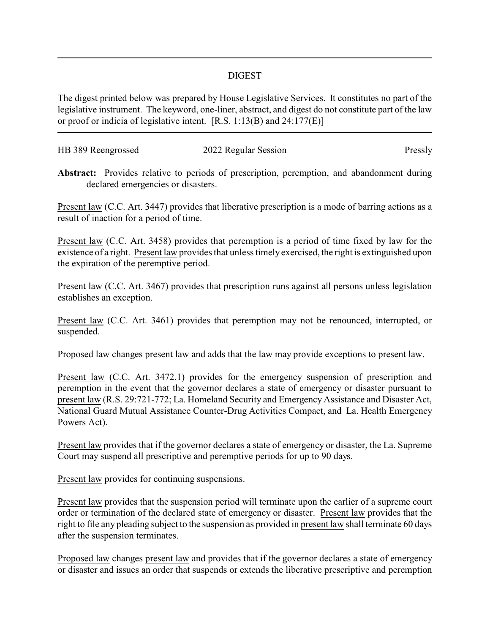## DIGEST

The digest printed below was prepared by House Legislative Services. It constitutes no part of the legislative instrument. The keyword, one-liner, abstract, and digest do not constitute part of the law or proof or indicia of legislative intent. [R.S. 1:13(B) and 24:177(E)]

| HB 389 Reengrossed | 2022 Regular Session | Pressly |
|--------------------|----------------------|---------|
|                    |                      |         |

**Abstract:** Provides relative to periods of prescription, peremption, and abandonment during declared emergencies or disasters.

Present law (C.C. Art. 3447) provides that liberative prescription is a mode of barring actions as a result of inaction for a period of time.

Present law (C.C. Art. 3458) provides that peremption is a period of time fixed by law for the existence of a right. Present law provides that unless timely exercised, the right is extinguished upon the expiration of the peremptive period.

Present law (C.C. Art. 3467) provides that prescription runs against all persons unless legislation establishes an exception.

Present law (C.C. Art. 3461) provides that peremption may not be renounced, interrupted, or suspended.

Proposed law changes present law and adds that the law may provide exceptions to present law.

Present law (C.C. Art. 3472.1) provides for the emergency suspension of prescription and peremption in the event that the governor declares a state of emergency or disaster pursuant to present law (R.S. 29:721-772; La. Homeland Security and Emergency Assistance and Disaster Act, National Guard Mutual Assistance Counter-Drug Activities Compact, and La. Health Emergency Powers Act).

Present law provides that if the governor declares a state of emergency or disaster, the La. Supreme Court may suspend all prescriptive and peremptive periods for up to 90 days.

Present law provides for continuing suspensions.

Present law provides that the suspension period will terminate upon the earlier of a supreme court order or termination of the declared state of emergency or disaster. Present law provides that the right to file any pleading subject to the suspension as provided in present law shall terminate 60 days after the suspension terminates.

Proposed law changes present law and provides that if the governor declares a state of emergency or disaster and issues an order that suspends or extends the liberative prescriptive and peremption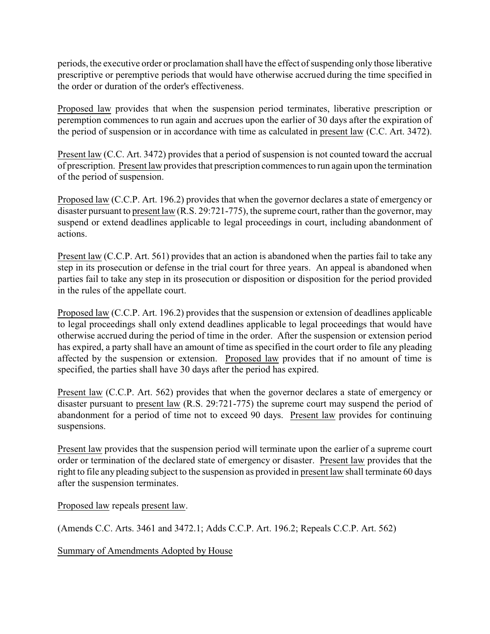periods, the executive order or proclamation shall have the effect of suspending only those liberative prescriptive or peremptive periods that would have otherwise accrued during the time specified in the order or duration of the order's effectiveness.

Proposed law provides that when the suspension period terminates, liberative prescription or peremption commences to run again and accrues upon the earlier of 30 days after the expiration of the period of suspension or in accordance with time as calculated in present law (C.C. Art. 3472).

Present law (C.C. Art. 3472) provides that a period of suspension is not counted toward the accrual of prescription. Present law provides that prescription commences to run again upon the termination of the period of suspension.

Proposed law (C.C.P. Art. 196.2) provides that when the governor declares a state of emergency or disaster pursuant to present law (R.S. 29:721-775), the supreme court, rather than the governor, may suspend or extend deadlines applicable to legal proceedings in court, including abandonment of actions.

Present law (C.C.P. Art. 561) provides that an action is abandoned when the parties fail to take any step in its prosecution or defense in the trial court for three years. An appeal is abandoned when parties fail to take any step in its prosecution or disposition or disposition for the period provided in the rules of the appellate court.

Proposed law (C.C.P. Art. 196.2) provides that the suspension or extension of deadlines applicable to legal proceedings shall only extend deadlines applicable to legal proceedings that would have otherwise accrued during the period of time in the order. After the suspension or extension period has expired, a party shall have an amount of time as specified in the court order to file any pleading affected by the suspension or extension. Proposed law provides that if no amount of time is specified, the parties shall have 30 days after the period has expired.

Present law (C.C.P. Art. 562) provides that when the governor declares a state of emergency or disaster pursuant to present law (R.S. 29:721-775) the supreme court may suspend the period of abandonment for a period of time not to exceed 90 days. Present law provides for continuing suspensions.

Present law provides that the suspension period will terminate upon the earlier of a supreme court order or termination of the declared state of emergency or disaster. Present law provides that the right to file any pleading subject to the suspension as provided in present law shall terminate 60 days after the suspension terminates.

Proposed law repeals present law.

(Amends C.C. Arts. 3461 and 3472.1; Adds C.C.P. Art. 196.2; Repeals C.C.P. Art. 562)

Summary of Amendments Adopted by House